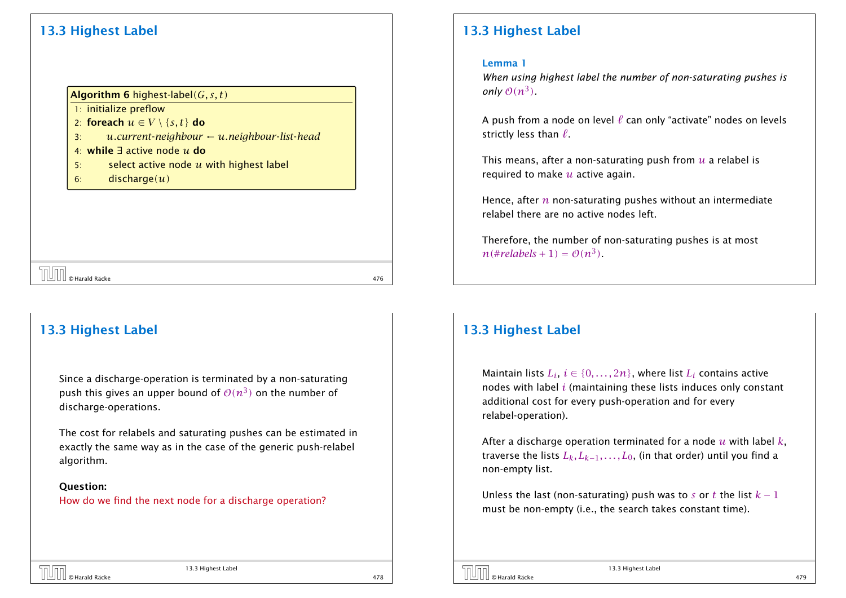# 13.3 Highest Label

#### Algorithm 6 highest-label*(G, s, t)*

1: initialize preflow

- 2: foreach  $u \in V \setminus \{s, t\}$  do
- 3: *u.current*-*neighbour* ← *u.neighbour*-*list*-*head*

# 4: while ∃ active node *u* do

- 5: select active node *u* with highest label
- 6: discharge*(u)*

 $\begin{array}{|c|c|c|}\hline \text{||} \text{||} \text{ } \end{array}$   $\begin{array}{|c|c|c|}\hline \text{||} \text{||} \text{ } \text{ } \end{array}$  476

# 13.3 Highest Label

Since a discharge-operation is terminated by a non-saturating push this gives an upper bound of  $\mathcal{O}(n^3)$  on the number of discharge-operations.

The cost for relabels and saturating pushes can be estimated in exactly the same way as in the case of the generic push-relabel algorithm.

#### Question:

How do we find the next node for a discharge operation?

# 13.3 Highest Label

#### Lemma 1

*When using highest label the number of non-saturating pushes is only*  $O(n^3)$ .

A push from a node on level  $\ell$  can only "activate" nodes on levels strictly less than  $\ell$ .

This means, after a non-saturating push from *u* a relabel is required to make *u* active again.

Hence, after *n* non-saturating pushes without an intermediate relabel there are no active nodes left.

Therefore, the number of non-saturating pushes is at most  $n$ (#*relabels* + 1) =  $O(n^3)$ .

### 13.3 Highest Label

Maintain lists  $L_i, \, i \in \{0, \ldots, 2n\},$  where list  $L_i$  contains active nodes with label *i* (maintaining these lists induces only constant additional cost for every push-operation and for every relabel-operation).

After a discharge operation terminated for a node *u* with label *k*, traverse the lists  $L_k, L_{k-1}, \ldots, L_0$ , (in that order) until you find a non-empty list.

Unless the last (non-saturating) push was to *s* or *t* the list  $k - 1$ must be non-empty (i.e., the search takes constant time).